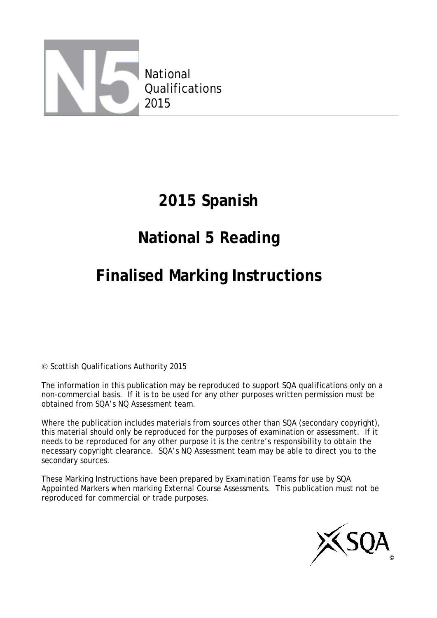

# **2015 Spanish**

# **National 5 Reading**

# **Finalised Marking Instructions**

© Scottish Qualifications Authority 2015

The information in this publication may be reproduced to support SQA qualifications only on a non-commercial basis. If it is to be used for any other purposes written permission must be obtained from SQA's NQ Assessment team.

Where the publication includes materials from sources other than SQA (secondary copyright), this material should only be reproduced for the purposes of examination or assessment. If it needs to be reproduced for any other purpose it is the centre's responsibility to obtain the necessary copyright clearance. SQA's NQ Assessment team may be able to direct you to the secondary sources.

These Marking Instructions have been prepared by Examination Teams for use by SQA Appointed Markers when marking External Course Assessments. This publication must not be reproduced for commercial or trade purposes.

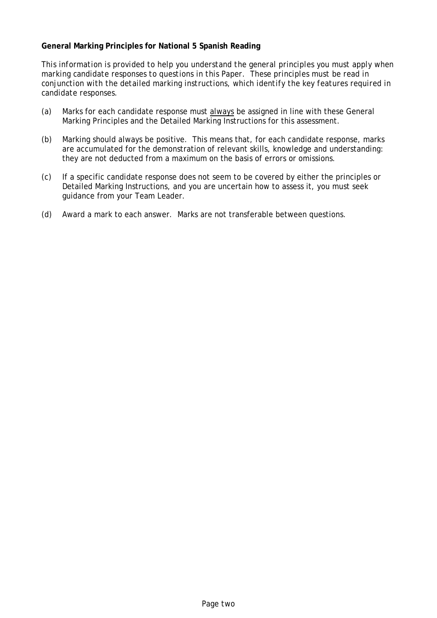#### **General Marking Principles for National 5 Spanish Reading**

*This information is provided to help you understand the general principles you must apply when marking candidate responses to questions in this Paper. These principles must be read in conjunction with the detailed marking instructions, which identify the key features required in candidate responses.*

- (a) Marks for each candidate response must always be assigned in line with these General Marking Principles and the Detailed Marking Instructions for this assessment.
- (b) Marking should always be positive. This means that, for each candidate response, marks are accumulated for the demonstration of relevant skills, knowledge and understanding: they are not deducted from a maximum on the basis of errors or omissions.
- (c) If a specific candidate response does not seem to be covered by either the principles or Detailed Marking Instructions, and you are uncertain how to assess it, you must seek guidance from your Team Leader.
- (d) Award a mark to each answer. Marks are not transferable between questions.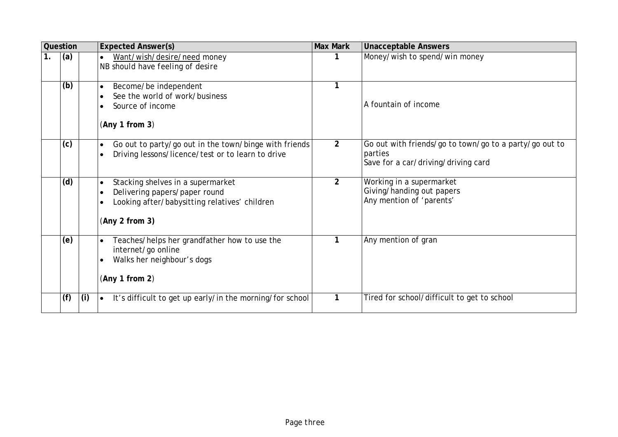|    | Question |     | <b>Expected Answer(s)</b>                                                                                                             | <b>Max Mark</b> | <b>Unacceptable Answers</b>                                                                              |
|----|----------|-----|---------------------------------------------------------------------------------------------------------------------------------------|-----------------|----------------------------------------------------------------------------------------------------------|
| 1. | (a)      |     | Want/wish/desire/need money<br>NB should have feeling of desire                                                                       |                 | Money/wish to spend/win money                                                                            |
|    | (b)      |     | Become/be independent<br>$\bullet$<br>See the world of work/business<br>Source of income<br>(Any 1 from 3)                            |                 | A fountain of income                                                                                     |
|    | (c)      |     | Go out to party/go out in the town/binge with friends<br>$\bullet$<br>Driving lessons/licence/test or to learn to drive               | $\overline{2}$  | Go out with friends/go to town/go to a party/go out to<br>parties<br>Save for a car/driving/driving card |
|    | (d)      |     | Stacking shelves in a supermarket<br>Delivering papers/paper round<br>Looking after/babysitting relatives' children<br>(Any 2 from 3) | 2               | Working in a supermarket<br>Giving/handing out papers<br>Any mention of 'parents'                        |
|    | (e)      |     | Teaches/helps her grandfather how to use the<br>internet/go online<br>Walks her neighbour's dogs<br>(Any 1 from 2)                    | 1               | Any mention of gran                                                                                      |
|    | (f)      | (i) | It's difficult to get up early/in the morning/for school                                                                              | 1               | Tired for school/difficult to get to school                                                              |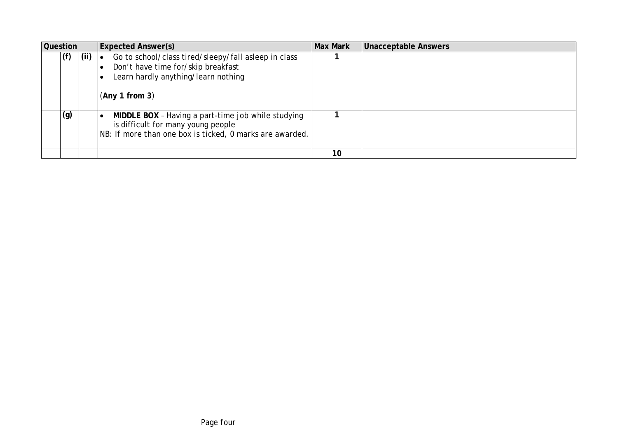| <b>Question</b> |     |     | <b>Expected Answer(s)</b>                                                                                                                                        | <b>Max Mark</b> | <b>Unacceptable Answers</b> |
|-----------------|-----|-----|------------------------------------------------------------------------------------------------------------------------------------------------------------------|-----------------|-----------------------------|
|                 | (f) | (i) | Go to school/class tired/sleepy/fall asleep in class<br>$\bullet$<br>Don't have time for/skip breakfast<br>Learn hardly anything/learn nothing<br>(Any 1 from 3) |                 |                             |
|                 | (g) |     | MIDDLE BOX - Having a part-time job while studying<br>is difficult for many young people<br>NB: If more than one box is ticked, 0 marks are awarded.             |                 |                             |
|                 |     |     |                                                                                                                                                                  | 10              |                             |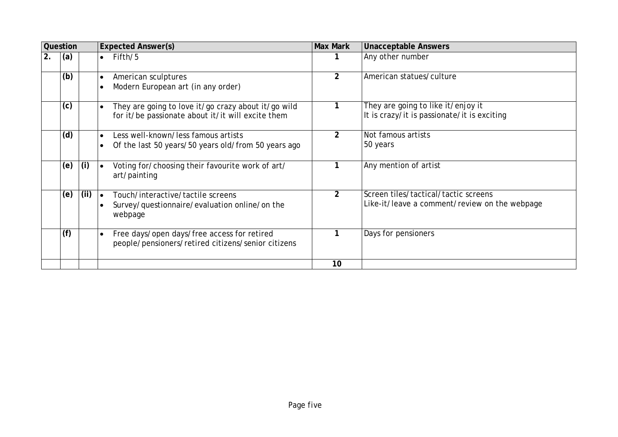|    | Question |      | <b>Max Mark</b><br><b>Expected Answer(s)</b>                                                                            |                | <b>Unacceptable Answers</b>                                                           |
|----|----------|------|-------------------------------------------------------------------------------------------------------------------------|----------------|---------------------------------------------------------------------------------------|
| 2. | (a)      |      | Fifth/5<br>$\bullet$                                                                                                    |                | Any other number                                                                      |
|    | (b)      |      | American sculptures<br>$\bullet$<br>Modern European art (in any order)                                                  | $\overline{2}$ | American statues/culture                                                              |
|    | (c)      |      | They are going to love it/go crazy about it/go wild<br>for it/be passionate about it/it will excite them                |                | They are going to like it/enjoy it<br>It is crazy/it is passionate/it is exciting     |
|    | (d)      |      | Less well-known/less famous artists<br>Of the last 50 years/50 years old/from 50 years ago<br>$\bullet$                 | $\overline{2}$ | Not famous artists<br>50 years                                                        |
|    | (e)      | (i)  | Voting for/choosing their favourite work of art/<br>art/painting                                                        |                | Any mention of artist                                                                 |
|    | (e)      | (ii) | Touch/interactive/tactile screens<br>$\bullet$<br>Survey/questionnaire/evaluation online/on the<br>$\bullet$<br>webpage | $\overline{2}$ | Screen tiles/tactical/tactic screens<br>Like-it/leave a comment/review on the webpage |
|    | (f)      |      | Free days/open days/free access for retired<br>people/pensioners/retired citizens/senior citizens                       |                | Days for pensioners                                                                   |
|    |          |      |                                                                                                                         | 10             |                                                                                       |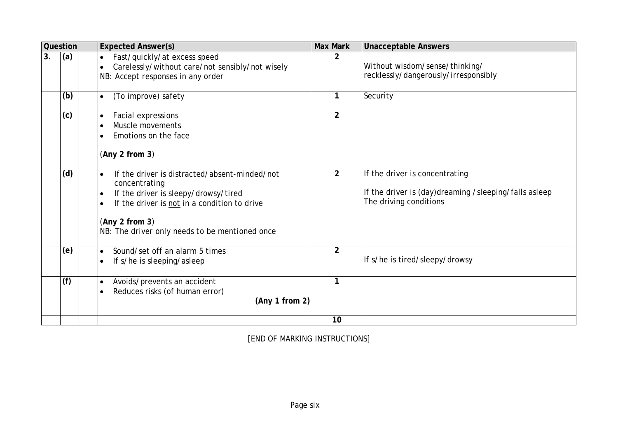|    | Question | <b>Expected Answer(s)</b>                                                                                                                                                                                                                            | <b>Max Mark</b> | <b>Unacceptable Answers</b>                                                                                       |
|----|----------|------------------------------------------------------------------------------------------------------------------------------------------------------------------------------------------------------------------------------------------------------|-----------------|-------------------------------------------------------------------------------------------------------------------|
| 3. | (a)      | Fast/quickly/at excess speed<br>$\bullet$<br>Carelessly/without care/not sensibly/not wisely<br>NB: Accept responses in any order                                                                                                                    | 2               | Without wisdom/sense/thinking/<br>recklessly/dangerously/irresponsibly                                            |
|    | (b)      | (To improve) safety<br>$\bullet$                                                                                                                                                                                                                     | 1               | Security                                                                                                          |
|    | (c)      | Facial expressions<br>$\bullet$<br>Muscle movements<br>$\bullet$<br>Emotions on the face<br>(Any 2 from 3)                                                                                                                                           | $\overline{2}$  |                                                                                                                   |
|    | (d)      | If the driver is distracted/absent-minded/not<br>$\bullet$<br>concentrating<br>If the driver is sleepy/drowsy/tired<br>$\bullet$<br>If the driver is not in a condition to drive<br>(Any 2 from 3)<br>NB: The driver only needs to be mentioned once | $\overline{2}$  | If the driver is concentrating<br>If the driver is (day)dreaming /sleeping/falls asleep<br>The driving conditions |
|    | (e)      | Sound/set off an alarm 5 times<br>$\bullet$<br>If s/he is sleeping/asleep<br>$\bullet$                                                                                                                                                               | $\overline{2}$  | If s/he is tired/sleepy/drowsy                                                                                    |
|    | (f)      | Avoids/prevents an accident<br>$\bullet$<br>Reduces risks (of human error)<br>$\bullet$<br>(Any 1 from 2)                                                                                                                                            |                 |                                                                                                                   |
|    |          |                                                                                                                                                                                                                                                      | 10              |                                                                                                                   |

[END OF MARKING INSTRUCTIONS]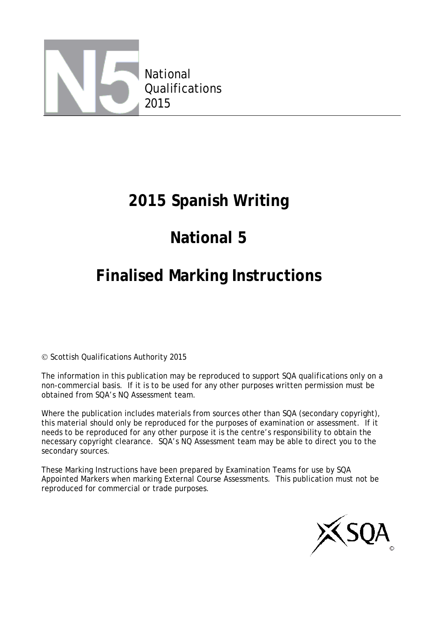

### **2015 Spanish Writing**

# **National 5**

# **Finalised Marking Instructions**

© Scottish Qualifications Authority 2015

The information in this publication may be reproduced to support SQA qualifications only on a non-commercial basis. If it is to be used for any other purposes written permission must be obtained from SQA's NQ Assessment team.

Where the publication includes materials from sources other than SQA (secondary copyright), this material should only be reproduced for the purposes of examination or assessment. If it needs to be reproduced for any other purpose it is the centre's responsibility to obtain the necessary copyright clearance. SQA's NQ Assessment team may be able to direct you to the secondary sources.

These Marking Instructions have been prepared by Examination Teams for use by SQA Appointed Markers when marking External Course Assessments. This publication must not be reproduced for commercial or trade purposes.

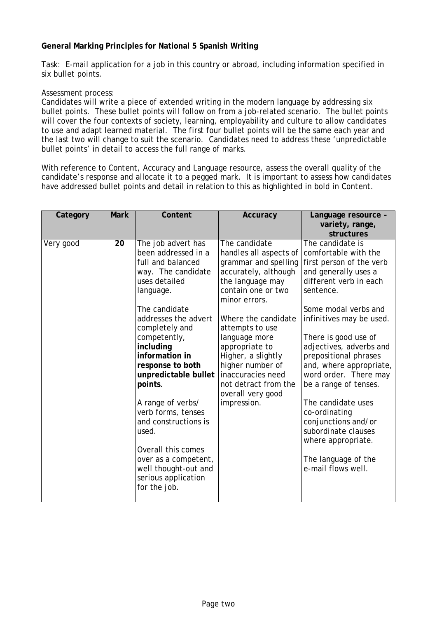#### **General Marking Principles for National 5 Spanish Writing**

Task: E-mail application for a job in this country or abroad, including information specified in six bullet points.

#### Assessment process:

Candidates will write a piece of extended writing in the modern language by addressing six bullet points. These bullet points will follow on from a job-related scenario. The bullet points will cover the four contexts of society, learning, employability and culture to allow candidates to use and adapt learned material. The first four bullet points will be the same each year and the last two will change to suit the scenario. Candidates need to address these 'unpredictable bullet points' in detail to access the full range of marks.

With reference to *Content, Accuracy* and *Language resource*, assess the overall quality of the candidate's response and allocate it to a pegged mark. It is important to assess how candidates have addressed bullet points and detail in relation to this as highlighted in bold in *Content.*

| Category  | <b>Mark</b> | Content                                                                                                                                                                                                                                                                                                                                                                                                                                                                      | Accuracy                                                                                                                                                                                                                                                                                                                                                   | Language resource -<br>variety, range,<br>structures                                                                                                                                                                                                                                                                                                                                                                                                                                                     |
|-----------|-------------|------------------------------------------------------------------------------------------------------------------------------------------------------------------------------------------------------------------------------------------------------------------------------------------------------------------------------------------------------------------------------------------------------------------------------------------------------------------------------|------------------------------------------------------------------------------------------------------------------------------------------------------------------------------------------------------------------------------------------------------------------------------------------------------------------------------------------------------------|----------------------------------------------------------------------------------------------------------------------------------------------------------------------------------------------------------------------------------------------------------------------------------------------------------------------------------------------------------------------------------------------------------------------------------------------------------------------------------------------------------|
| Very good | 20          | The job advert has<br>been addressed in a<br>full and balanced<br>way. The candidate<br>uses detailed<br>language.<br>The candidate<br>addresses the advert<br>completely and<br>competently,<br>including<br>information in<br>response to both<br>unpredictable bullet<br>points.<br>A range of verbs/<br>verb forms, tenses<br>and constructions is<br>used.<br>Overall this comes<br>over as a competent,<br>well thought-out and<br>serious application<br>for the job. | The candidate<br>handles all aspects of<br>grammar and spelling<br>accurately, although<br>the language may<br>contain one or two<br>minor errors.<br>Where the candidate<br>attempts to use<br>language more<br>appropriate to<br>Higher, a slightly<br>higher number of<br>inaccuracies need<br>not detract from the<br>overall very good<br>impression. | The candidate is<br>comfortable with the<br>first person of the verb<br>and generally uses a<br>different verb in each<br>sentence.<br>Some modal verbs and<br>infinitives may be used.<br>There is good use of<br>adjectives, adverbs and<br>prepositional phrases<br>and, where appropriate,<br>word order. There may<br>be a range of tenses.<br>The candidate uses<br>co-ordinating<br>conjunctions and/or<br>subordinate clauses<br>where appropriate.<br>The language of the<br>e-mail flows well. |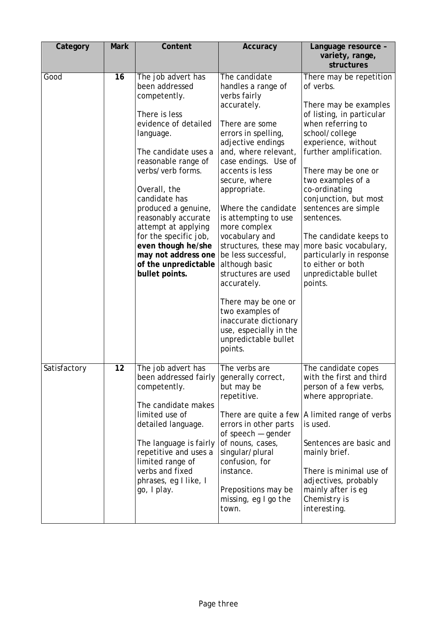| Category     | <b>Mark</b> | Content                                                                                                                                                                                                                                                                                                                                                                                              | <b>Accuracy</b>                                                                                                                                                                                                                                                                                                                                                                                                                                                                                                                                               | Language resource -<br>variety, range,<br>structures                                                                                                                                                                                                                                                                                                                                                                                                   |
|--------------|-------------|------------------------------------------------------------------------------------------------------------------------------------------------------------------------------------------------------------------------------------------------------------------------------------------------------------------------------------------------------------------------------------------------------|---------------------------------------------------------------------------------------------------------------------------------------------------------------------------------------------------------------------------------------------------------------------------------------------------------------------------------------------------------------------------------------------------------------------------------------------------------------------------------------------------------------------------------------------------------------|--------------------------------------------------------------------------------------------------------------------------------------------------------------------------------------------------------------------------------------------------------------------------------------------------------------------------------------------------------------------------------------------------------------------------------------------------------|
| Good         | 16          | The job advert has<br>been addressed<br>competently.<br>There is less<br>evidence of detailed<br>language.<br>The candidate uses a<br>reasonable range of<br>verbs/verb forms.<br>Overall, the<br>candidate has<br>produced a genuine,<br>reasonably accurate<br>attempt at applying<br>for the specific job,<br>even though he/she<br>may not address one<br>of the unpredictable<br>bullet points. | The candidate<br>handles a range of<br>verbs fairly<br>accurately.<br>There are some<br>errors in spelling,<br>adjective endings<br>and, where relevant,<br>case endings. Use of<br>accents is less<br>secure, where<br>appropriate.<br>Where the candidate<br>is attempting to use<br>more complex<br>vocabulary and<br>structures, these may<br>be less successful,<br>although basic<br>structures are used<br>accurately.<br>There may be one or<br>two examples of<br>inaccurate dictionary<br>use, especially in the<br>unpredictable bullet<br>points. | There may be repetition<br>of verbs.<br>There may be examples<br>of listing, in particular<br>when referring to<br>school/college<br>experience, without<br>further amplification.<br>There may be one or<br>two examples of a<br>co-ordinating<br>conjunction, but most<br>sentences are simple<br>sentences.<br>The candidate keeps to<br>more basic vocabulary,<br>particularly in response<br>to either or both<br>unpredictable bullet<br>points. |
| Satisfactory | 12          | The job advert has<br>been addressed fairly<br>competently.<br>The candidate makes<br>limited use of<br>detailed language.<br>The language is fairly<br>repetitive and uses a<br>limited range of<br>verbs and fixed<br>phrases, eg I like, I<br>go, I play.                                                                                                                                         | The verbs are<br>generally correct,<br>but may be<br>repetitive.<br>There are quite a few<br>errors in other parts<br>of speech $-$ gender<br>of nouns, cases,<br>singular/plural<br>confusion, for<br>instance.<br>Prepositions may be<br>missing, eg I go the<br>town.                                                                                                                                                                                                                                                                                      | The candidate copes<br>with the first and third<br>person of a few verbs,<br>where appropriate.<br>A limited range of verbs<br>is used.<br>Sentences are basic and<br>mainly brief.<br>There is minimal use of<br>adjectives, probably<br>mainly after is eg<br>Chemistry is<br>interesting.                                                                                                                                                           |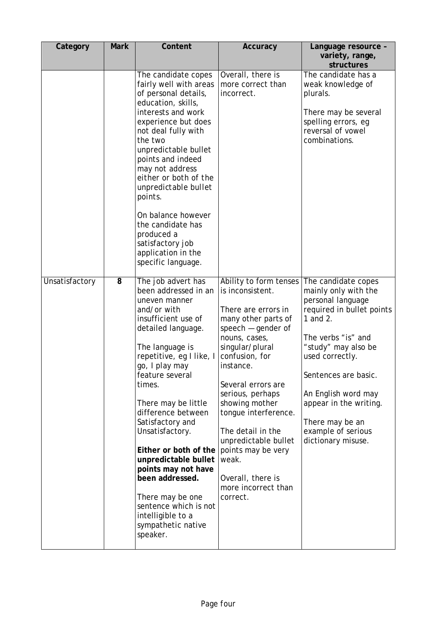| Category       | <b>Mark</b> | Content                                                                                                                                                                                                                                                                                                                                                                                                                                                                                                  | Accuracy                                                                                                                                                                                                                                                                                                                                                                                                    | Language resource -<br>variety, range,<br>structures                                                                                                                                                                                                                                                              |
|----------------|-------------|----------------------------------------------------------------------------------------------------------------------------------------------------------------------------------------------------------------------------------------------------------------------------------------------------------------------------------------------------------------------------------------------------------------------------------------------------------------------------------------------------------|-------------------------------------------------------------------------------------------------------------------------------------------------------------------------------------------------------------------------------------------------------------------------------------------------------------------------------------------------------------------------------------------------------------|-------------------------------------------------------------------------------------------------------------------------------------------------------------------------------------------------------------------------------------------------------------------------------------------------------------------|
|                |             | The candidate copes<br>fairly well with areas<br>of personal details,<br>education, skills,<br>interests and work<br>experience but does<br>not deal fully with<br>the two<br>unpredictable bullet<br>points and indeed<br>may not address<br>either or both of the<br>unpredictable bullet<br>points.<br>On balance however<br>the candidate has<br>produced a<br>satisfactory job<br>application in the<br>specific language.                                                                          | Overall, there is<br>more correct than<br>incorrect.                                                                                                                                                                                                                                                                                                                                                        | The candidate has a<br>weak knowledge of<br>plurals.<br>There may be several<br>spelling errors, eg<br>reversal of vowel<br>combinations.                                                                                                                                                                         |
| Unsatisfactory | 8           | The job advert has<br>been addressed in an<br>uneven manner<br>and/or with<br>insufficient use of<br>detailed language.<br>The language is<br>repetitive, eg I like, I<br>go, I play may<br>feature several<br>times.<br>There may be little<br>difference between<br>Satisfactory and<br>Unsatisfactory.<br>Either or both of the<br>unpredictable bullet<br>points may not have<br>been addressed.<br>There may be one<br>sentence which is not<br>intelligible to a<br>sympathetic native<br>speaker. | Ability to form tenses<br>is inconsistent.<br>There are errors in<br>many other parts of<br>speech $-$ gender of<br>nouns, cases,<br>singular/plural<br>confusion, for<br>instance.<br>Several errors are<br>serious, perhaps<br>showing mother<br>tongue interference.<br>The detail in the<br>unpredictable bullet<br>points may be very<br>weak.<br>Overall, there is<br>more incorrect than<br>correct. | The candidate copes<br>mainly only with the<br>personal language<br>required in bullet points<br>1 and 2.<br>The verbs "is" and<br>"study" may also be<br>used correctly.<br>Sentences are basic.<br>An English word may<br>appear in the writing.<br>There may be an<br>example of serious<br>dictionary misuse. |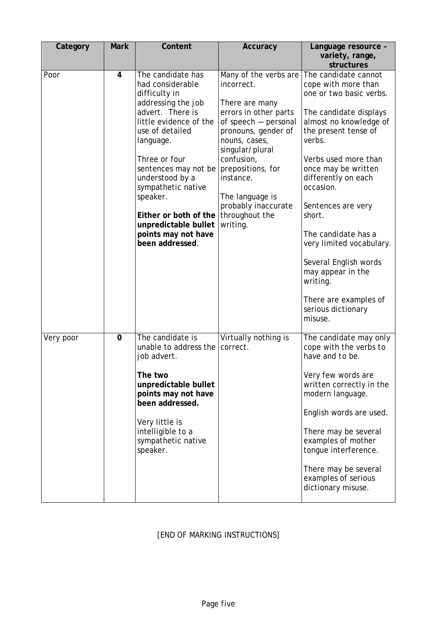| Category  | <b>Mark</b> | Content                                                                                                                                                                                                                                                                                                                                                               | Accuracy                                                                                                                                                                                                                                                             | Language resource -<br>variety, range,<br>structures                                                                                                                                                                                                                                                                                                                                                                                                   |
|-----------|-------------|-----------------------------------------------------------------------------------------------------------------------------------------------------------------------------------------------------------------------------------------------------------------------------------------------------------------------------------------------------------------------|----------------------------------------------------------------------------------------------------------------------------------------------------------------------------------------------------------------------------------------------------------------------|--------------------------------------------------------------------------------------------------------------------------------------------------------------------------------------------------------------------------------------------------------------------------------------------------------------------------------------------------------------------------------------------------------------------------------------------------------|
| Poor      | 4           | The candidate has<br>had considerable<br>difficulty in<br>addressing the job<br>advert. There is<br>little evidence of the<br>use of detailed<br>language.<br>Three or four<br>sentences may not be prepositions, for<br>understood by a<br>sympathetic native<br>speaker.<br>Either or both of the<br>unpredictable bullet<br>points may not have<br>been addressed. | Many of the verbs are<br>incorrect.<br>There are many<br>errors in other parts<br>of speech - personal<br>pronouns, gender of<br>nouns, cases,<br>singular/plural<br>confusion,<br>instance.<br>The language is<br>probably inaccurate<br>throughout the<br>writing. | The candidate cannot<br>cope with more than<br>one or two basic verbs.<br>The candidate displays<br>almost no knowledge of<br>the present tense of<br>verbs.<br>Verbs used more than<br>once may be written<br>differently on each<br>occasion.<br>Sentences are very<br>short.<br>The candidate has a<br>very limited vocabulary.<br>Several English words<br>may appear in the<br>writing.<br>There are examples of<br>serious dictionary<br>misuse. |
| Very poor | 0           | The candidate is<br>unable to address the<br>job advert.<br>The two<br>unpredictable bullet<br>points may not have<br>been addressed.<br>Very little is<br>intelligible to a<br>sympathetic native<br>speaker.                                                                                                                                                        | Virtually nothing is<br>correct.                                                                                                                                                                                                                                     | The candidate may only<br>cope with the verbs to<br>have and to be.<br>Very few words are<br>written correctly in the<br>modern language.<br>English words are used.<br>There may be several<br>examples of mother<br>tongue interference.<br>There may be several<br>examples of serious<br>dictionary misuse.                                                                                                                                        |

### [END OF MARKING INSTRUCTIONS]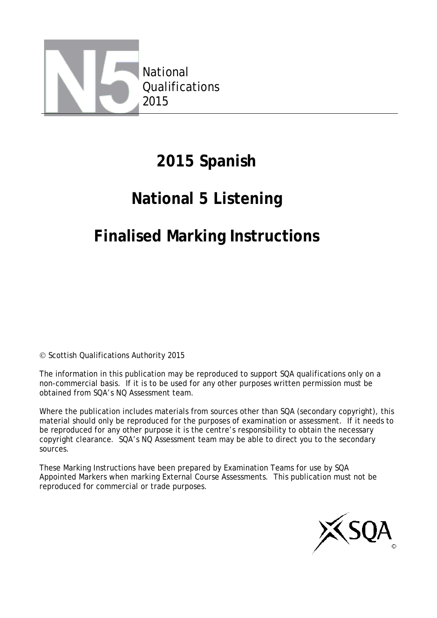

### **2015 Spanish**

### **National 5 Listening**

### **Finalised Marking Instructions**

© Scottish Qualifications Authority 2015

The information in this publication may be reproduced to support SQA qualifications only on a non-commercial basis. If it is to be used for any other purposes written permission must be obtained from SQA's NQ Assessment team.

Where the publication includes materials from sources other than SQA (secondary copyright), this material should only be reproduced for the purposes of examination or assessment. If it needs to be reproduced for any other purpose it is the centre's responsibility to obtain the necessary copyright clearance. SQA's NQ Assessment team may be able to direct you to the secondary sources.

These Marking Instructions have been prepared by Examination Teams for use by SQA Appointed Markers when marking External Course Assessments. This publication must not be reproduced for commercial or trade purposes.

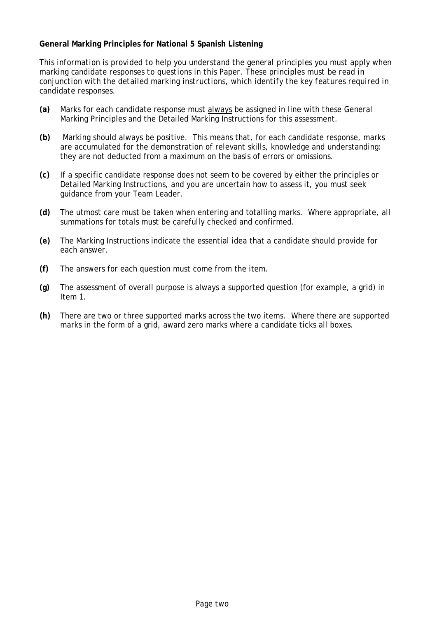#### **General Marking Principles for National 5 Spanish Listening**

*This information is provided to help you understand the general principles you must apply when marking candidate responses to questions in this Paper. These principles must be read in conjunction with the detailed marking instructions, which identify the key features required in candidate responses.*

- **(a)** Marks for each candidate response must always be assigned in line with these General Marking Principles and the Detailed Marking Instructions for this assessment.
- **(b)** Marking should always be positive. This means that, for each candidate response, marks are accumulated for the demonstration of relevant skills, knowledge and understanding: they are not deducted from a maximum on the basis of errors or omissions.
- **(c)** If a specific candidate response does not seem to be covered by either the principles or Detailed Marking Instructions, and you are uncertain how to assess it, you must seek guidance from your Team Leader.
- **(d)** The utmost care must be taken when entering and totalling marks. Where appropriate, all summations for totals must be carefully checked and confirmed.
- **(e)** The Marking Instructions indicate the essential idea that a candidate should provide for each answer.
- **(f)** The answers for each question must come from the item.
- **(g)** The assessment of overall purpose is always a supported question (for example, a grid) in Item 1.
- **(h)** There are two or three supported marks across the two items. Where there are supported marks in the form of a grid, award zero marks where a candidate ticks all boxes.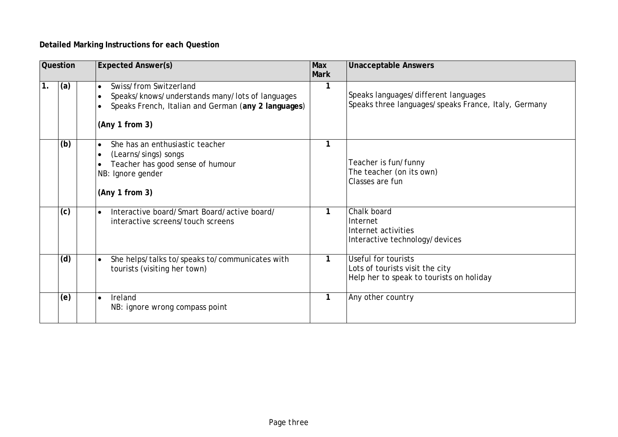### **Detailed Marking Instructions for each Question**

|               | <b>Question</b> | <b>Expected Answer(s)</b>                                                                                                                                                    | <b>Max</b><br><b>Mark</b> | <b>Unacceptable Answers</b>                                                                        |
|---------------|-----------------|------------------------------------------------------------------------------------------------------------------------------------------------------------------------------|---------------------------|----------------------------------------------------------------------------------------------------|
| $\mathbf 1$ . | (a)             | Swiss/from Switzerland<br>$\bullet$<br>Speaks/knows/understands many/lots of languages<br>$\bullet$<br>Speaks French, Italian and German (any 2 languages)<br>(Any 1 from 3) | 1                         | Speaks languages/different languages<br>Speaks three languages/speaks France, Italy, Germany       |
|               | (b)             | She has an enthusiastic teacher<br>$\bullet$<br>(Learns/sings) songs<br>$\bullet$<br>Teacher has good sense of humour<br>NB: Ignore gender<br>(Any 1 from 3)                 | 1                         | Teacher is fun/funny<br>The teacher (on its own)<br>Classes are fun                                |
|               | (c)             | Interactive board/Smart Board/active board/<br>$\bullet$<br>interactive screens/touch screens                                                                                | 1                         | Chalk board<br>Internet<br>Internet activities<br>Interactive technology/devices                   |
|               | (d)             | She helps/talks to/speaks to/communicates with<br>$\bullet$<br>tourists (visiting her town)                                                                                  | 1                         | Useful for tourists<br>Lots of tourists visit the city<br>Help her to speak to tourists on holiday |
|               | (e)             | Ireland<br>$\bullet$<br>NB: ignore wrong compass point                                                                                                                       | $\mathbf{1}$              | Any other country                                                                                  |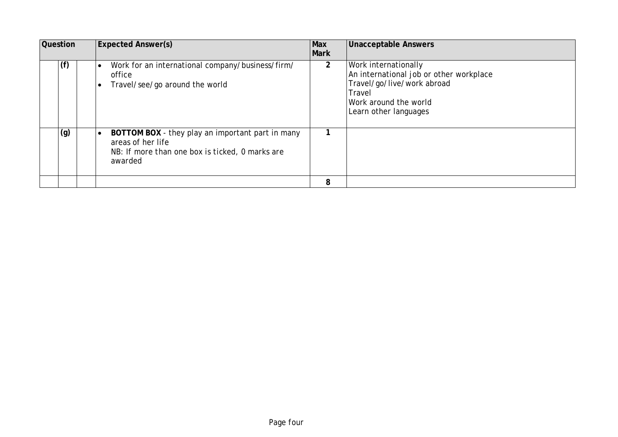| <b>Question</b> |  | <b>Expected Answer(s)</b><br>Max<br><b>Mark</b>                                                                                                  |                | <b>Unacceptable Answers</b>                                                                                                                                      |
|-----------------|--|--------------------------------------------------------------------------------------------------------------------------------------------------|----------------|------------------------------------------------------------------------------------------------------------------------------------------------------------------|
| (f)             |  | Work for an international company/business/firm/<br>٠<br>office<br>Travel/see/go around the world                                                | $\overline{2}$ | <b>Work internationally</b><br>An international job or other workplace<br>Travel/go/live/work abroad<br>Travel<br>Work around the world<br>Learn other languages |
| (g)             |  | BOTTOM BOX - they play an important part in many<br>$\bullet$<br>areas of her life<br>NB: If more than one box is ticked, 0 marks are<br>awarded |                |                                                                                                                                                                  |
|                 |  |                                                                                                                                                  | 8              |                                                                                                                                                                  |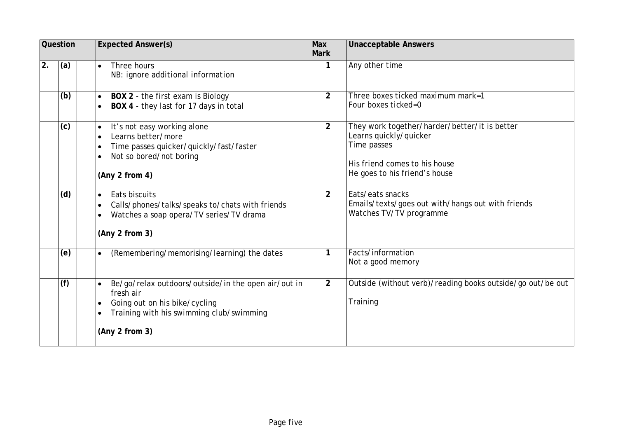|    | Question | <b>Max</b><br><b>Expected Answer(s)</b><br><b>Mark</b>                                                                                                                                    |                | <b>Unacceptable Answers</b>                                                                                                                              |
|----|----------|-------------------------------------------------------------------------------------------------------------------------------------------------------------------------------------------|----------------|----------------------------------------------------------------------------------------------------------------------------------------------------------|
| 2. | (a)      | Three hours<br>$\bullet$<br>NB: ignore additional information                                                                                                                             | $\mathbf{1}$   | Any other time                                                                                                                                           |
|    | (b)      | BOX 2 - the first exam is Biology<br>$\bullet$<br>BOX 4 - they last for 17 days in total<br>$\bullet$                                                                                     | $\overline{2}$ | Three boxes ticked maximum mark=1<br>Four boxes ticked=0                                                                                                 |
|    | (c)      | It's not easy working alone<br>$\bullet$<br>Learns better/more<br>$\bullet$<br>Time passes quicker/quickly/fast/faster<br>$\bullet$<br>Not so bored/not boring<br>(Any 2 from 4)          | $\overline{2}$ | They work together/harder/better/it is better<br>Learns quickly/quicker<br>Time passes<br>His friend comes to his house<br>He goes to his friend's house |
|    | (d)      | Eats biscuits<br>$\bullet$<br>Calls/phones/talks/speaks to/chats with friends<br>$\bullet$<br>Watches a soap opera/TV series/TV drama<br>$\bullet$<br>(Any 2 from 3)                      | $\overline{2}$ | Eats/eats snacks<br>Emails/texts/goes out with/hangs out with friends<br>Watches TV/TV programme                                                         |
|    | (e)      | (Remembering/memorising/learning) the dates<br>$\bullet$                                                                                                                                  | 1              | Facts/information<br>Not a good memory                                                                                                                   |
|    | (f)      | Be/go/relax outdoors/outside/in the open air/out in<br>fresh air<br>Going out on his bike/cycling<br>$\bullet$<br>Training with his swimming club/swimming<br>$\bullet$<br>(Any 2 from 3) | $\overline{2}$ | Outside (without verb)/reading books outside/go out/be out<br>Training                                                                                   |